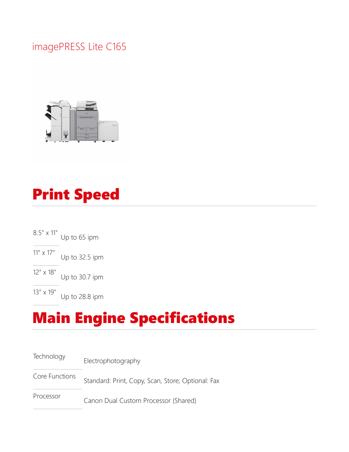#### imagePRESS Lite C165



# Print Speed

8.5" x 11" Up to 65 ipm 11" x 17" Up to 32.5 ipm 12" x 18" Up to 30.7 ipm

13" x 19" Up to 28.8 ipm

### Main Engine Specifications

Technology Electrophotography Core Functions Standard: Print, Copy, Scan, Store; Optional: Fax Processor Canon Dual Custom Processor (Shared)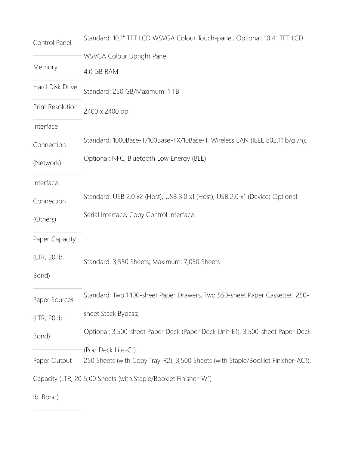| Control Panel           | Standard: 10.1" TFT LCD WSVGA Colour Touch-panel; Optional: 10.4" TFT LCD        |  |  |
|-------------------------|----------------------------------------------------------------------------------|--|--|
|                         | WSVGA Colour Upright Panel                                                       |  |  |
| Memory                  | 4.0 GB RAM                                                                       |  |  |
| Hard Disk Drive         | Standard: 250 GB/Maximum: 1 TB                                                   |  |  |
| <b>Print Resolution</b> | 2400 x 2400 dpi                                                                  |  |  |
| Interface               |                                                                                  |  |  |
| Connection              | Standard: 1000Base-T/100Base-TX/10Base-T, Wireless LAN (IEEE 802.11 b/g /n);     |  |  |
| (Network)               | Optional: NFC, Bluetooth Low Energy (BLE)                                        |  |  |
| Interface               |                                                                                  |  |  |
| Connection              | Standard: USB 2.0 x2 (Host), USB 3.0 x1 (Host), USB 2.0 x1 (Device) Optional:    |  |  |
| (Others)                | Serial Interface, Copy Control Interface                                         |  |  |
| Paper Capacity          |                                                                                  |  |  |
| (LTR, 20 lb.            | Standard: 3,550 Sheets; Maximum: 7,050 Sheets                                    |  |  |
| Bond)                   |                                                                                  |  |  |
| Paper Sources           | Standard: Two 1,100-sheet Paper Drawers, Two 550-sheet Paper Cassettes, 250-     |  |  |
| (LTR, 20 lb.            | sheet Stack Bypass;                                                              |  |  |
| Bond)                   | Optional: 3,500-sheet Paper Deck (Paper Deck Unit-E1), 3,500-sheet Paper Deck    |  |  |
|                         | (Pod Deck Lite-C1)                                                               |  |  |
| Paper Output            | 250 Sheets (with Copy Tray-R2), 3,500 Sheets (with Staple/Booklet Finisher-AC1), |  |  |
|                         | Capacity (LTR, 20 5,00 Sheets (with Staple/Booklet Finisher-W1)                  |  |  |
|                         |                                                                                  |  |  |

lb. Bond)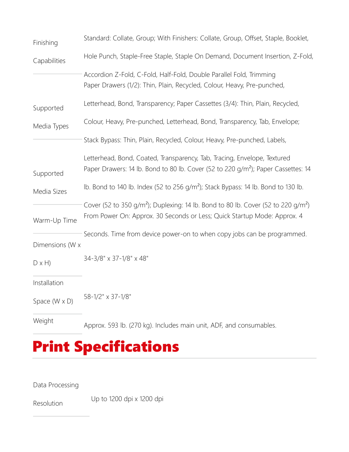| Finishing              | Standard: Collate, Group; With Finishers: Collate, Group, Offset, Staple, Booklet,                                                                                                    |  |  |
|------------------------|---------------------------------------------------------------------------------------------------------------------------------------------------------------------------------------|--|--|
| Capabilities           | Hole Punch, Staple-Free Staple, Staple On Demand, Document Insertion, Z-Fold,                                                                                                         |  |  |
|                        | Accordion Z-Fold, C-Fold, Half-Fold, Double Parallel Fold, Trimming<br>Paper Drawers (1/2): Thin, Plain, Recycled, Colour, Heavy, Pre-punched,                                        |  |  |
| Supported              | Letterhead, Bond, Transparency; Paper Cassettes (3/4): Thin, Plain, Recycled,                                                                                                         |  |  |
| Media Types            | Colour, Heavy, Pre-punched, Letterhead, Bond, Transparency, Tab, Envelope;                                                                                                            |  |  |
|                        | Stack Bypass: Thin, Plain, Recycled, Colour, Heavy, Pre-punched, Labels,                                                                                                              |  |  |
| Supported              | Letterhead, Bond, Coated, Transparency, Tab, Tracing, Envelope, Textured<br>Paper Drawers: 14 lb. Bond to 80 lb. Cover (52 to 220 g/m <sup>2</sup> ); Paper Cassettes: 14             |  |  |
| Media Sizes            | Ib. Bond to 140 lb. Index (52 to 256 g/m <sup>2</sup> ); Stack Bypass: 14 lb. Bond to 130 lb.                                                                                         |  |  |
| Warm-Up Time           | Cover (52 to 350 g/m <sup>2</sup> ); Duplexing: 14 lb. Bond to 80 lb. Cover (52 to 220 g/m <sup>2</sup> )<br>From Power On: Approx. 30 Seconds or Less; Quick Startup Mode: Approx. 4 |  |  |
| Dimensions (W x        | Seconds. Time from device power-on to when copy jobs can be programmed.                                                                                                               |  |  |
| $D \times H$           | 34-3/8" x 37-1/8" x 48"                                                                                                                                                               |  |  |
| Installation           |                                                                                                                                                                                       |  |  |
| Space ( $W \times D$ ) | 58-1/2" x 37-1/8"                                                                                                                                                                     |  |  |
| Weight                 | Approx. 593 lb. (270 kg). Includes main unit, ADF, and consumables.                                                                                                                   |  |  |

### Print Specifications

Data Processing

Resolution Up to 1200 dpi x 1200 dpi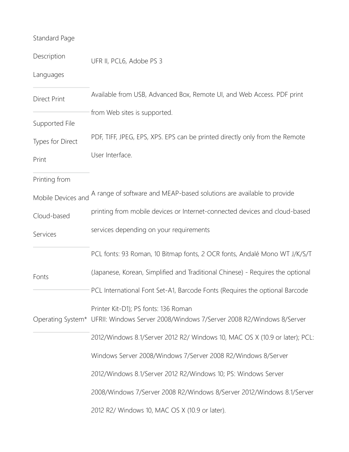#### Standard Page

| Description         | UFR II, PCL6, Adobe PS 3                                                                                                       |  |
|---------------------|--------------------------------------------------------------------------------------------------------------------------------|--|
| Languages           |                                                                                                                                |  |
| <b>Direct Print</b> | Available from USB, Advanced Box, Remote UI, and Web Access. PDF print                                                         |  |
| Supported File      | from Web sites is supported.                                                                                                   |  |
| Types for Direct    | PDF, TIFF, JPEG, EPS, XPS. EPS can be printed directly only from the Remote                                                    |  |
| Print               | User Interface.                                                                                                                |  |
| Printing from       |                                                                                                                                |  |
| Mobile Devices and  | A range of software and MEAP-based solutions are available to provide                                                          |  |
| Cloud-based         | printing from mobile devices or Internet-connected devices and cloud-based                                                     |  |
| Services            | services depending on your requirements                                                                                        |  |
|                     | PCL fonts: 93 Roman, 10 Bitmap fonts, 2 OCR fonts, Andalé Mono WT J/K/S/T                                                      |  |
| Fonts               | (Japanese, Korean, Simplified and Traditional Chinese) - Requires the optional                                                 |  |
|                     | PCL International Font Set-A1, Barcode Fonts (Requires the optional Barcode                                                    |  |
|                     | Printer Kit-D1); PS fonts: 136 Roman<br>Operating System* UFRII: Windows Server 2008/Windows 7/Server 2008 R2/Windows 8/Server |  |
|                     | 2012/Windows 8.1/Server 2012 R2/ Windows 10, MAC OS X (10.9 or later); PCL:                                                    |  |
|                     | Windows Server 2008/Windows 7/Server 2008 R2/Windows 8/Server                                                                  |  |
|                     | 2012/Windows 8.1/Server 2012 R2/Windows 10; PS: Windows Server                                                                 |  |
|                     | 2008/Windows 7/Server 2008 R2/Windows 8/Server 2012/Windows 8.1/Server                                                         |  |
|                     | 2012 R2/ Windows 10, MAC OS X (10.9 or later).                                                                                 |  |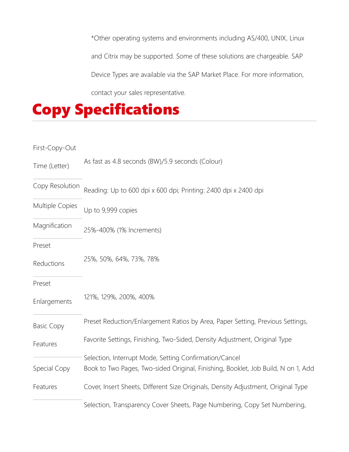\*Other operating systems and environments including AS/400, UNIX, Linux and Citrix may be supported. Some of these solutions are chargeable. SAP Device Types are available via the SAP Market Place. For more information, contact your sales representative.



| First-Copy-Out    |                                                                                                                                             |  |
|-------------------|---------------------------------------------------------------------------------------------------------------------------------------------|--|
| Time (Letter)     | As fast as 4.8 seconds (BW)/5.9 seconds (Colour)                                                                                            |  |
| Copy Resolution   | Reading: Up to 600 dpi x 600 dpi; Printing: 2400 dpi x 2400 dpi                                                                             |  |
| Multiple Copies   | Up to 9,999 copies                                                                                                                          |  |
| Magnification     | 25%-400% (1% Increments)                                                                                                                    |  |
| Preset            |                                                                                                                                             |  |
| Reductions        | 25%, 50%, 64%, 73%, 78%                                                                                                                     |  |
| Preset            |                                                                                                                                             |  |
| Enlargements      | 121%, 129%, 200%, 400%                                                                                                                      |  |
| <b>Basic Copy</b> | Preset Reduction/Enlargement Ratios by Area, Paper Setting, Previous Settings,                                                              |  |
| Features          | Favorite Settings, Finishing, Two-Sided, Density Adjustment, Original Type                                                                  |  |
| Special Copy      | Selection, Interrupt Mode, Setting Confirmation/Cancel<br>Book to Two Pages, Two-sided Original, Finishing, Booklet, Job Build, N on 1, Add |  |
| Features          | Cover, Insert Sheets, Different Size Originals, Density Adjustment, Original Type                                                           |  |
|                   | Selection, Transparency Cover Sheets, Page Numbering, Copy Set Numbering,                                                                   |  |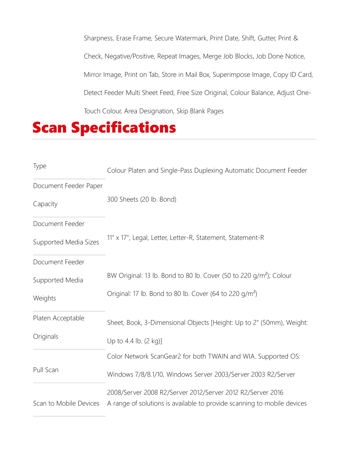Sharpness, Erase Frame, Secure Watermark, Print Date, Shift, Gutter, Print & Check, Negative/Positive, Repeat Images, Merge Job Blocks, Job Done Notice, Mirror Image, Print on Tab, Store in Mail Box, Superimpose Image, Copy ID Card, Detect Feeder Multi Sheet Feed, Free Size Original, Colour Balance, Adjust One-Touch Colour, Area Designation, Skip Blank Pages

#### Scan Specifications

| Type                                          | Colour Platen and Single-Pass Duplexing Automatic Document Feeder                                                                                     |
|-----------------------------------------------|-------------------------------------------------------------------------------------------------------------------------------------------------------|
| Document Feeder Paper<br>Capacity             | 300 Sheets (20 lb. Bond)                                                                                                                              |
| Document Feeder<br>Supported Media Sizes      | 11" x 17", Legal, Letter, Letter-R, Statement, Statement-R                                                                                            |
| Document Feeder<br>Supported Media<br>Weights | BW Original: 13 lb. Bond to 80 lb. Cover (50 to 220 g/m <sup>2</sup> ); Colour<br>Original: 17 lb. Bond to 80 lb. Cover (64 to 220 g/m <sup>2</sup> ) |
| Platen Acceptable<br>Originals                | Sheet, Book, 3-Dimensional Objects [Height: Up to 2" (50mm), Weight:<br>Up to 4.4 lb. (2 kg)]                                                         |
| Pull Scan                                     | Color Network ScanGear2 for both TWAIN and WIA. Supported OS:<br>Windows 7/8/8.1/10, Windows Server 2003/Server 2003 R2/Server                        |
| Scan to Mobile Devices                        | 2008/Server 2008 R2/Server 2012/Server 2012 R2/Server 2016<br>A range of solutions is available to provide scanning to mobile devices                 |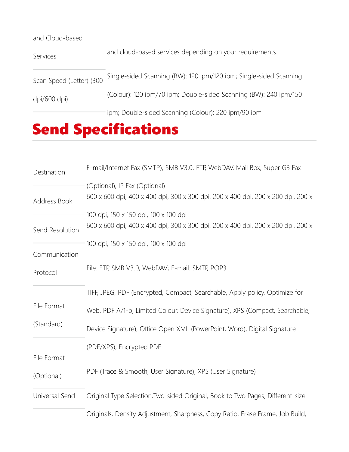| and Cloud-based          |                                                                    |  |
|--------------------------|--------------------------------------------------------------------|--|
| Services                 | and cloud-based services depending on your requirements.           |  |
| Scan Speed (Letter) (300 | Single-sided Scanning (BW): 120 ipm/120 ipm; Single-sided Scanning |  |
| dpi/600 dpi)             | (Colour): 120 ipm/70 ipm; Double-sided Scanning (BW): 240 ipm/150  |  |
|                          | ipm; Double-sided Scanning (Colour): 220 ipm/90 ipm                |  |

# Send Specifications

| Destination     | E-mail/Internet Fax (SMTP), SMB V3.0, FTP, WebDAV, Mail Box, Super G3 Fax                                                 |  |  |
|-----------------|---------------------------------------------------------------------------------------------------------------------------|--|--|
| Address Book    | (Optional), IP Fax (Optional)<br>600 x 600 dpi, 400 x 400 dpi, 300 x 300 dpi, 200 x 400 dpi, 200 x 200 dpi, 200 x         |  |  |
| Send Resolution | 100 dpi, 150 x 150 dpi, 100 x 100 dpi<br>600 x 600 dpi, 400 x 400 dpi, 300 x 300 dpi, 200 x 400 dpi, 200 x 200 dpi, 200 x |  |  |
| Communication   | 100 dpi, 150 x 150 dpi, 100 x 100 dpi                                                                                     |  |  |
| Protocol        | File: FTP, SMB V3.0, WebDAV; E-mail: SMTP, POP3                                                                           |  |  |
|                 | TIFF, JPEG, PDF (Encrypted, Compact, Searchable, Apply policy, Optimize for                                               |  |  |
| File Format     | Web, PDF A/1-b, Limited Colour, Device Signature), XPS (Compact, Searchable,                                              |  |  |
| (Standard)      | Device Signature), Office Open XML (PowerPoint, Word), Digital Signature                                                  |  |  |
| File Format     | (PDF/XPS), Encrypted PDF                                                                                                  |  |  |
| (Optional)      | PDF (Trace & Smooth, User Signature), XPS (User Signature)                                                                |  |  |
| Universal Send  | Original Type Selection, Two-sided Original, Book to Two Pages, Different-size                                            |  |  |
|                 | Originals, Density Adjustment, Sharpness, Copy Ratio, Erase Frame, Job Build,                                             |  |  |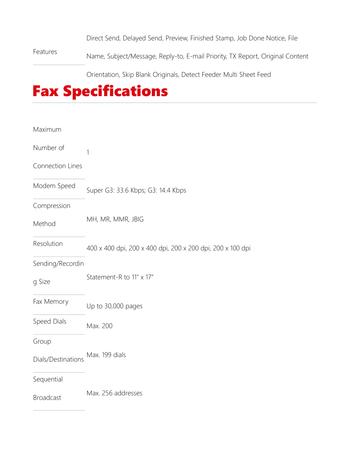Direct Send, Delayed Send, Preview, Finished Stamp, Job Done Notice, File

Features Name, Subject/Message, Reply-to, E-mail Priority, TX Report, Original Content

Orientation, Skip Blank Originals, Detect Feeder Multi Sheet Feed

#### Fax Specifications

| Maximum            |                                                            |
|--------------------|------------------------------------------------------------|
| Number of          | 1                                                          |
| Connection Lines   |                                                            |
| Modem Speed        | Super G3: 33.6 Kbps; G3: 14.4 Kbps                         |
| Compression        |                                                            |
| Method             | MH, MR, MMR, JBIG                                          |
| Resolution         | 400 x 400 dpi, 200 x 400 dpi, 200 x 200 dpi, 200 x 100 dpi |
| Sending/Recordin   |                                                            |
| g Size             | Statement-R to 11" x 17"                                   |
| Fax Memory         | Up to 30,000 pages                                         |
| Speed Dials        | Max. 200                                                   |
| Group              |                                                            |
| Dials/Destinations | Max. 199 dials                                             |
| Sequential         |                                                            |
| <b>Broadcast</b>   | Max. 256 addresses                                         |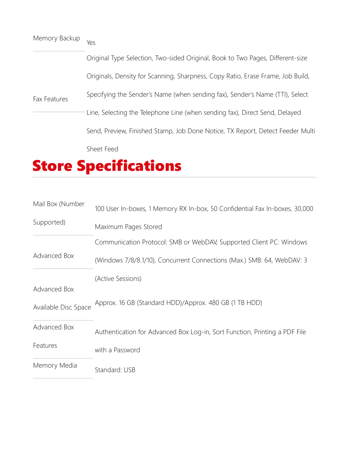| Memory Backup | Yes                                                                             |
|---------------|---------------------------------------------------------------------------------|
| Fax Features  | Original Type Selection, Two-sided Original, Book to Two Pages, Different-size  |
|               | Originals, Density for Scanning, Sharpness, Copy Ratio, Erase Frame, Job Build, |
|               | Specifying the Sender's Name (when sending fax), Sender's Name (TTI), Select    |
|               | Line, Selecting the Telephone Line (when sending fax), Direct Send, Delayed     |
|               | Send, Preview, Finished Stamp, Job Done Notice, TX Report, Detect Feeder Multi  |
|               | Sheet Feed                                                                      |

# Store Specifications

| Mail Box (Number     | 100 User In-boxes, 1 Memory RX In-box, 50 Confidential Fax In-boxes, 30,000 |  |
|----------------------|-----------------------------------------------------------------------------|--|
| Supported)           | Maximum Pages Stored                                                        |  |
|                      | Communication Protocol: SMB or WebDAV, Supported Client PC: Windows         |  |
| Advanced Box         | (Windows 7/8/8.1/10), Concurrent Connections (Max.) SMB: 64, WebDAV: 3      |  |
|                      | (Active Sessions)                                                           |  |
| Advanced Box         |                                                                             |  |
| Available Disc Space | Approx. 16 GB (Standard HDD)/Approx. 480 GB (1 TB HDD)                      |  |
| Advanced Box         | Authentication for Advanced Box Log-in, Sort Function, Printing a PDF File  |  |
| Features             | with a Password                                                             |  |
| Memory Media         | Standard: USB                                                               |  |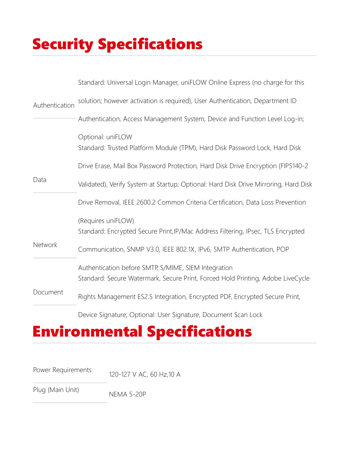# Security Specifications

|                | Standard: Universal Login Manager, uniFLOW Online Express (no charge for this                                                           |
|----------------|-----------------------------------------------------------------------------------------------------------------------------------------|
| Authentication | solution; however activation is required), User Authentication, Department ID                                                           |
|                | Authentication, Access Management System, Device and Function Level Log-in;                                                             |
|                | Optional: uniFLOW<br>Standard: Trusted Platform Module (TPM), Hard Disk Password Lock, Hard Disk                                        |
|                | Drive Erase, Mail Box Password Protection, Hard Disk Drive Encryption (FIPS140-2                                                        |
| Data           | Validated), Verify System at Startup; Optional: Hard Disk Drive Mirroring, Hard Disk                                                    |
|                | Drive Removal, IEEE 2600.2 Common Criteria Certification, Data Loss Prevention                                                          |
|                | (Requires uniFLOW)<br>Standard: Encrypted Secure Print, IP/Mac Address Filtering, IPsec, TLS Encrypted                                  |
| Network        | Communication, SNMP V3.0, IEEE 802.1X, IPv6, SMTP Authentication, POP                                                                   |
|                | Authentication before SMTP, S/MIME, SIEM Integration<br>Standard: Secure Watermark, Secure Print, Forced Hold Printing, Adobe LiveCycle |
| Document       | Rights Management ES2.5 Integration, Encrypted PDF, Encrypted Secure Print,                                                             |

Device Signature; Optional: User Signature, Document Scan Lock

### Environmental Specifications

Power Requirements 120-127 V AC, 60 Hz, 10 A

Plug (Main Unit) NEMA 5-20P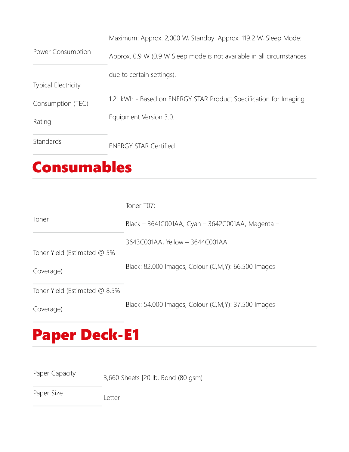Power Consumption Maximum: Approx. 2,000 W, Standby: Approx. 119.2 W, Sleep Mode: Approx. 0.9 W (0.9 W Sleep mode is not available in all circumstances due to certain settings). Typical Electricity Consumption (TEC) Rating 1.21 kWh - Based on ENERGY STAR Product Specification for Imaging Equipment Version 3.0. Standards ENERGY STAR Certified

#### Consumables

|                               | Toner T07;                                          |
|-------------------------------|-----------------------------------------------------|
| Toner                         | Black - 3641C001AA, Cyan - 3642C001AA, Magenta -    |
|                               | 3643C001AA, Yellow - 3644C001AA                     |
| Toner Yield (Estimated @ 5%   |                                                     |
| Coverage)                     | Black: 82,000 Images, Colour (C,M,Y): 66,500 Images |
| Toner Yield (Estimated @ 8.5% |                                                     |
| Coverage)                     | Black: 54,000 Images, Colour (C,M,Y): 37,500 Images |

# Paper Deck-E1

Paper Capacity 3,660 Sheets [20 lb. Bond (80 gsm)

Paper Size<br>
Letter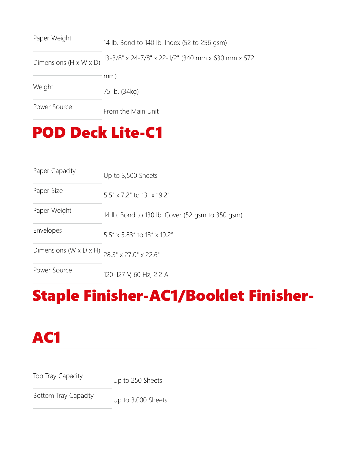| Paper Weight                       | 14 lb. Bond to 140 lb. Index (52 to 256 gsm)       |
|------------------------------------|----------------------------------------------------|
| Dimensions $(H \times W \times D)$ | 13-3/8" x 24-7/8" x 22-1/2" (340 mm x 630 mm x 572 |
|                                    | mm)                                                |
| Weight                             | 75 lb. (34kg)                                      |
| Power Source                       | From the Main Unit                                 |

## POD Deck Lite-C1

| Paper Capacity                       | Up to 3,500 Sheets                               |
|--------------------------------------|--------------------------------------------------|
| Paper Size                           | $5.5" \times 7.2"$ to 13" $\times$ 19.2"         |
| Paper Weight                         | 14 lb. Bond to 130 lb. Cover (52 gsm to 350 gsm) |
| Envelopes                            | $5.5'' \times 5.83''$ to 13" x 19.2"             |
| Dimensions ( $W \times D \times H$ ) | 28 3" x 27 0" x 22 6"                            |
| Power Source                         | 120-127 V, 60 Hz, 2.2 A                          |

# Staple Finisher-AC1/Booklet Finisher-



Top Tray Capacity Up to 250 Sheets

Bottom Tray Capacity Up to 3,000 Sheets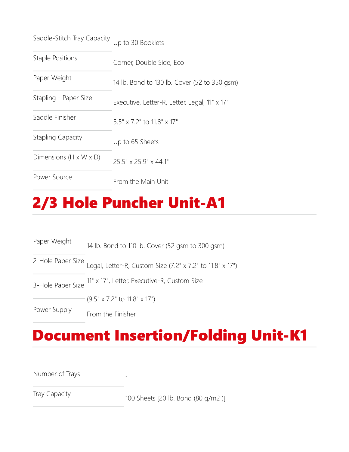| Saddle-Stitch Tray Capacity Up to 30 Booklets |  |  |
|-----------------------------------------------|--|--|
|                                               |  |  |

| <b>Staple Positions</b>            | Corner, Double Side, Eco                      |
|------------------------------------|-----------------------------------------------|
| Paper Weight                       | 14 lb. Bond to 130 lb. Cover (52 to 350 gsm)  |
| Stapling - Paper Size              | Executive, Letter-R, Letter, Legal, 11" x 17" |
| Saddle Finisher                    | $5.5" \times 7.2"$ to $11.8" \times 17"$      |
| <b>Stapling Capacity</b>           | Up to 65 Sheets                               |
| Dimensions $(H \times W \times D)$ | 25.5" x 25.9" x 44.1"                         |
| Power Source                       | From the Main Unit                            |

## 2/3 Hole Puncher Unit-A1

| Paper Weight      | 14 lb. Bond to 110 lb. Cover (52 gsm to 300 gsm)                            |
|-------------------|-----------------------------------------------------------------------------|
|                   | 2-Hole Paper Size Legal, Letter-R, Custom Size (7.2" x 7.2" to 11.8" x 17") |
| 3-Hole Paper Size | 11" x 17", Letter, Executive-R, Custom Size                                 |
|                   | $(9.5" \times 7.2"$ to 11.8" $\times$ 17")                                  |
| Power Supply      | From the Finisher                                                           |

#### Document Insertion/Folding Unit-K1

| Number of Trays |  |
|-----------------|--|
|-----------------|--|

Tray Capacity 100 Sheets [20 lb. Bond (80 g/m2 )]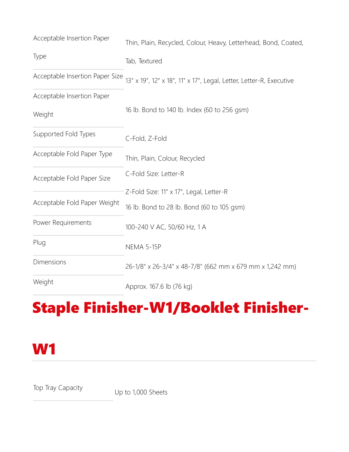| Acceptable Insertion Paper      | Thin, Plain, Recycled, Colour, Heavy, Letterhead, Bond, Coated,     |
|---------------------------------|---------------------------------------------------------------------|
| Type                            | Tab, Textured                                                       |
| Acceptable Insertion Paper Size | 13" x 19", 12" x 18", 11" x 17", Legal, Letter, Letter-R, Executive |
| Acceptable Insertion Paper      |                                                                     |
| Weight                          | 16 lb. Bond to 140 lb. Index (60 to 256 gsm)                        |
| Supported Fold Types            | C-Fold, Z-Fold                                                      |
| Acceptable Fold Paper Type      | Thin, Plain, Colour, Recycled                                       |
| Acceptable Fold Paper Size      | C-Fold Size: Letter-R                                               |
|                                 | Z-Fold Size: 11" x 17", Legal, Letter-R                             |
| Acceptable Fold Paper Weight    | 16 lb. Bond to 28 lb. Bond (60 to 105 gsm)                          |
| Power Requirements              | 100-240 V AC, 50/60 Hz, 1 A                                         |
| Plug                            | <b>NEMA 5-15P</b>                                                   |
| Dimensions                      | 26-1/8" x 26-3/4" x 48-7/8" (662 mm x 679 mm x 1,242 mm)            |
| Weight                          | Approx. 167.6 lb (76 kg)                                            |

# Staple Finisher-W1/Booklet Finisher-

#### W1

Top Tray Capacity Up to 1,000 Sheets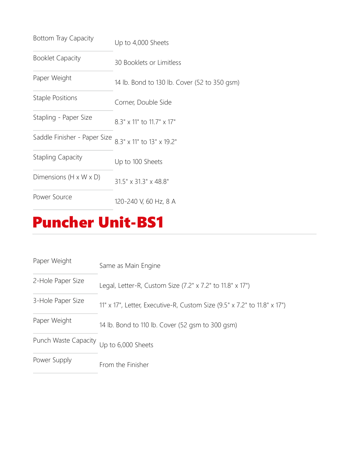| Bottom Tray Capacity               | Up to 4,000 Sheets                           |
|------------------------------------|----------------------------------------------|
| <b>Booklet Capacity</b>            | 30 Booklets or Limitless                     |
| Paper Weight                       | 14 lb. Bond to 130 lb. Cover (52 to 350 gsm) |
| <b>Staple Positions</b>            | Corner, Double Side                          |
| Stapling - Paper Size              | 8.3" x 11" to 11.7" x 17"                    |
| Saddle Finisher - Paper Size       | 8 3" x 11" to 13" x 19 2"                    |
| <b>Stapling Capacity</b>           | Up to 100 Sheets                             |
| Dimensions $(H \times W \times D)$ | 31.5" x 31.3" x 48.8"                        |
| Power Source                       | 120-240 V, 60 Hz, 8 A                        |

## Puncher Unit-BS1

| Paper Weight         | Same as Main Engine                                                      |
|----------------------|--------------------------------------------------------------------------|
| 2-Hole Paper Size    | Legal, Letter-R, Custom Size (7.2" x 7.2" to 11.8" x 17")                |
| 3-Hole Paper Size    | 11" x 17", Letter, Executive-R, Custom Size (9.5" x 7.2" to 11.8" x 17") |
| Paper Weight         | 14 lb. Bond to 110 lb. Cover (52 gsm to 300 gsm)                         |
| Punch Waste Capacity | Up to 6,000 Sheets                                                       |
| Power Supply         | From the Finisher                                                        |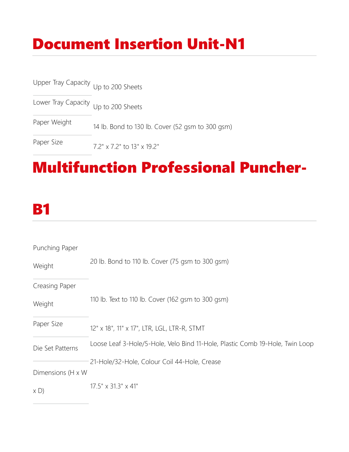# Document Insertion Unit-N1

Upper Tray Capacity Up to 200 Sheets

Lower Tray Capacity Up to 200 Sheets

Paper Weight 14 lb. Bond to 130 lb. Cover (52 gsm to 300 gsm)

Paper Size 7.2" x 7.2" to 13" x 19.2"

### Multifunction Professional Puncher-

#### **B1**

| Punching Paper    |                                                                              |
|-------------------|------------------------------------------------------------------------------|
| Weight            | 20 lb. Bond to 110 lb. Cover (75 gsm to 300 gsm)                             |
| Creasing Paper    |                                                                              |
| Weight            | 110 lb. Text to 110 lb. Cover (162 gsm to 300 gsm)                           |
| Paper Size        | 12" x 18", 11" x 17", LTR, LGL, LTR-R, STMT                                  |
| Die Set Patterns  | Loose Leaf 3-Hole/5-Hole, Velo Bind 11-Hole, Plastic Comb 19-Hole, Twin Loop |
|                   | 21-Hole/32-Hole, Colour Coil 44-Hole, Crease                                 |
| Dimensions (H x W |                                                                              |
| $X$ D)            | $17.5'' \times 31.3'' \times 41''$                                           |